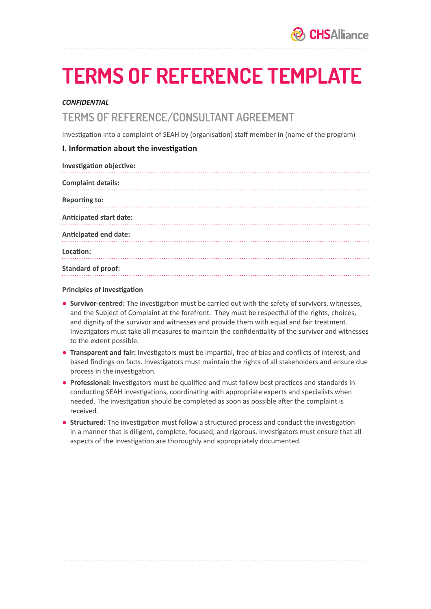# **TERMS OF REFERENCE TEMPLATE**

### *CONFIDENTIAL*

## TERMS OF REFERENCE/CONSULTANT AGREEMENT

Investigation into a complaint of SEAH by (organisation) staff member in (name of the program)

## **I. Information about the investigation**

| Investigation objective:       |
|--------------------------------|
| <b>Complaint details:</b>      |
| <b>Reporting to:</b>           |
| <b>Anticipated start date:</b> |
| <b>Anticipated end date:</b>   |
| Location:                      |
| <b>Standard of proof:</b>      |

#### **Principles of investigation**

- **Survivor-centred:** The investigation must be carried out with the safety of survivors, witnesses, and the Subject of Complaint at the forefront. They must be respectful of the rights, choices, and dignity of the survivor and witnesses and provide them with equal and fair treatment. Investigators must take all measures to maintain the confidentiality of the survivor and witnesses to the extent possible.
- **Transparent and fair:** Investigators must be impartial, free of bias and conflicts of interest, and based findings on facts. Investigators must maintain the rights of all stakeholders and ensure due process in the investigation.
- **Professional:** Investigators must be qualified and must follow best practices and standards in conducting SEAH investigations, coordinating with appropriate experts and specialists when needed. The investigation should be completed as soon as possible after the complaint is received.
- **Structured:** The investigation must follow a structured process and conduct the investigation in a manner that is diligent, complete, focused, and rigorous. Investigators must ensure that all aspects of the investigation are thoroughly and appropriately documented.